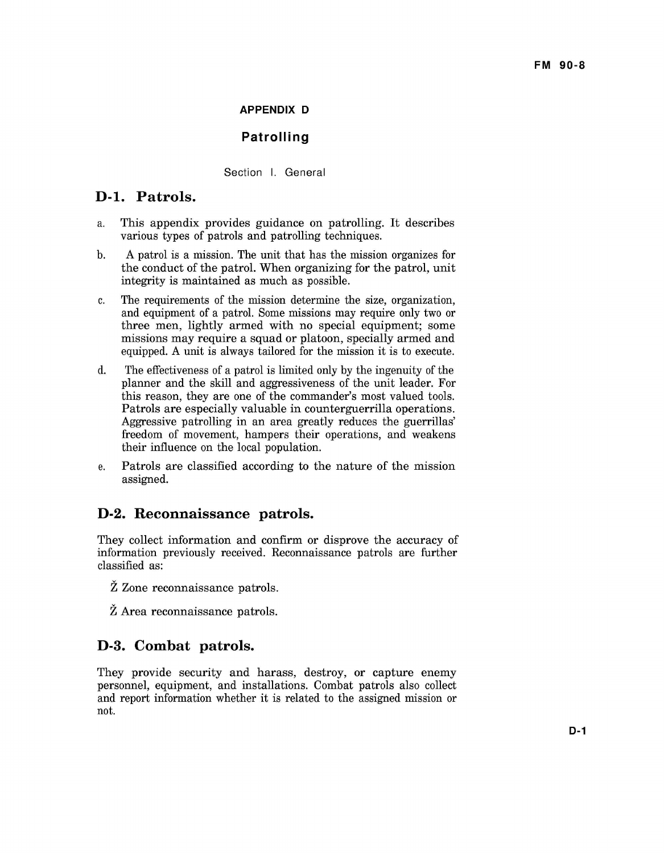#### **FM 90-8**

#### **APPENDIX D**

### **Patrol! ing**

#### Section I. General

## **D-l. Patrols.**

- a. This appendix provides guidance on patrolling. It describes various types of patrols and patrolling techniques.
- A patrol is a mission. The unit that has the mission organizes for the conduct of the patrol. When organizing for the patrol, unit integrity is maintained as much as possible. b.
- The requirements of the mission determine the size, organization, and equipment of a patrol. Some missions may require only two or three men, lightly armed with no special equipment; some missions may require a squad or platoon, specially armed and equipped. A unit is always tailored for the mission it is to execute. c.
- The effectiveness of a patrol is limited only by the ingenuity of the planner and the skill and aggressiveness of the unit leader. For this reason, they are one of the commander's most valued tools. Patrols are especially valuable in counterguerrilla operations. Aggressive patrolling in an area greatly reduces the guerrillas' freedom of movement, hampers their operations, and weakens their influence on the local population. d.
- Patrols are classified according to the nature of the mission assigned. e.

## **D-2. Reconnaissance patrols.**

They collect information and confirm or disprove the accuracy of information previously received. Reconnaissance patrols are further classified as:

- $\check{Z}$  Zone reconnaissance patrols.
- $\check{Z}$  Area reconnaissance patrols.

### **D-3. Combat patrols.**

They provide security and harass, destroy, or capture enemy personnel, equipment, and installations. Combat patrols also collect and report information whether it is related to the assigned mission or not.